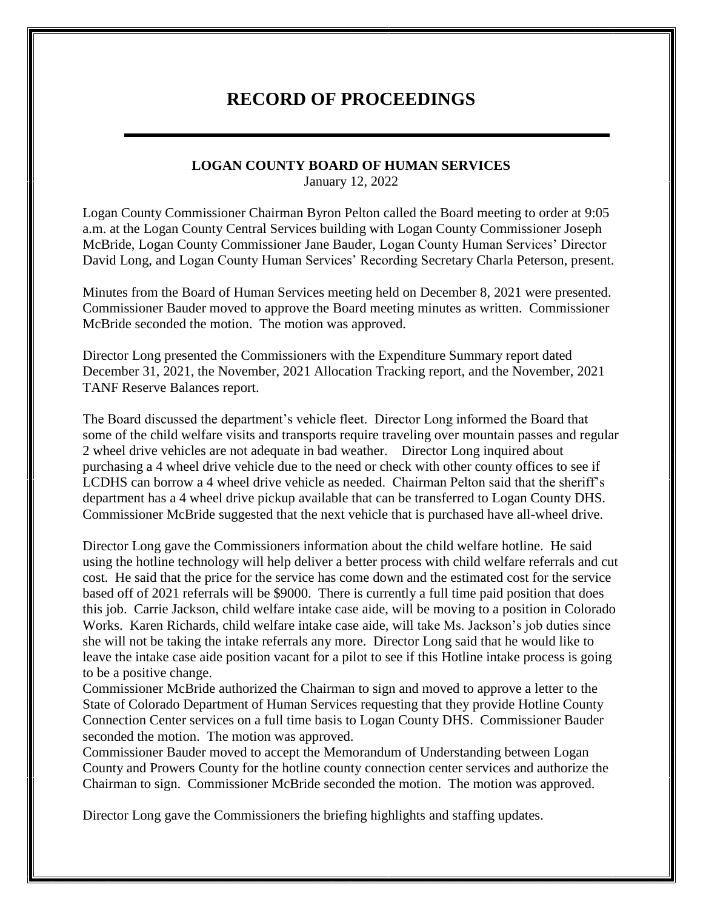## **RECORD OF PROCEEDINGS**

## **LOGAN COUNTY BOARD OF HUMAN SERVICES**

January 12, 2022

Logan County Commissioner Chairman Byron Pelton called the Board meeting to order at 9:05 a.m. at the Logan County Central Services building with Logan County Commissioner Joseph McBride, Logan County Commissioner Jane Bauder, Logan County Human Services' Director David Long, and Logan County Human Services' Recording Secretary Charla Peterson, present.

Minutes from the Board of Human Services meeting held on December 8, 2021 were presented. Commissioner Bauder moved to approve the Board meeting minutes as written. Commissioner McBride seconded the motion. The motion was approved.

Director Long presented the Commissioners with the Expenditure Summary report dated December 31, 2021, the November, 2021 Allocation Tracking report, and the November, 2021 TANF Reserve Balances report.

The Board discussed the department's vehicle fleet. Director Long informed the Board that some of the child welfare visits and transports require traveling over mountain passes and regular 2 wheel drive vehicles are not adequate in bad weather. Director Long inquired about purchasing a 4 wheel drive vehicle due to the need or check with other county offices to see if LCDHS can borrow a 4 wheel drive vehicle as needed. Chairman Pelton said that the sheriff's department has a 4 wheel drive pickup available that can be transferred to Logan County DHS. Commissioner McBride suggested that the next vehicle that is purchased have all-wheel drive.

Director Long gave the Commissioners information about the child welfare hotline. He said using the hotline technology will help deliver a better process with child welfare referrals and cut cost. He said that the price for the service has come down and the estimated cost for the service based off of 2021 referrals will be \$9000. There is currently a full time paid position that does this job. Carrie Jackson, child welfare intake case aide, will be moving to a position in Colorado Works. Karen Richards, child welfare intake case aide, will take Ms. Jackson's job duties since she will not be taking the intake referrals any more. Director Long said that he would like to leave the intake case aide position vacant for a pilot to see if this Hotline intake process is going to be a positive change.

Commissioner McBride authorized the Chairman to sign and moved to approve a letter to the State of Colorado Department of Human Services requesting that they provide Hotline County Connection Center services on a full time basis to Logan County DHS. Commissioner Bauder seconded the motion. The motion was approved.

Commissioner Bauder moved to accept the Memorandum of Understanding between Logan County and Prowers County for the hotline county connection center services and authorize the Chairman to sign. Commissioner McBride seconded the motion. The motion was approved.

Director Long gave the Commissioners the briefing highlights and staffing updates.